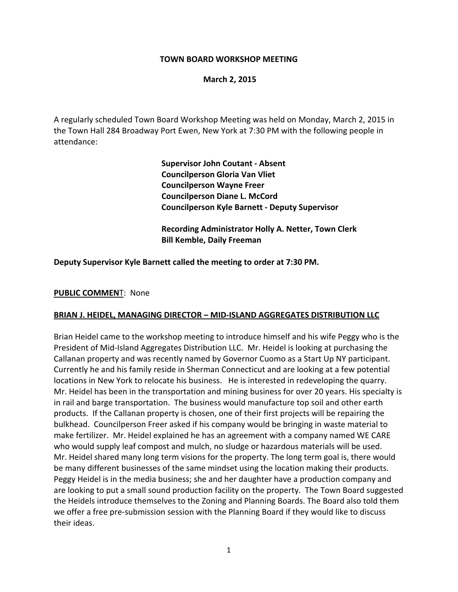## **TOWN BOARD WORKSHOP MEETING**

## **March 2, 2015**

A regularly scheduled Town Board Workshop Meeting was held on Monday, March 2, 2015 in the Town Hall 284 Broadway Port Ewen, New York at 7:30 PM with the following people in attendance:

> **Supervisor John Coutant ‐ Absent Councilperson Gloria Van Vliet Councilperson Wayne Freer Councilperson Diane L. McCord Councilperson Kyle Barnett ‐ Deputy Supervisor**

 **Recording Administrator Holly A. Netter, Town Clerk Bill Kemble, Daily Freeman**

**Deputy Supervisor Kyle Barnett called the meeting to order at 7:30 PM.**

### **PUBLIC COMMEN**T: None

#### **BRIAN J. HEIDEL, MANAGING DIRECTOR – MID‐ISLAND AGGREGATES DISTRIBUTION LLC**

Brian Heidel came to the workshop meeting to introduce himself and his wife Peggy who is the President of Mid‐Island Aggregates Distribution LLC. Mr. Heidel is looking at purchasing the Callanan property and was recently named by Governor Cuomo as a Start Up NY participant. Currently he and his family reside in Sherman Connecticut and are looking at a few potential locations in New York to relocate his business. He is interested in redeveloping the quarry. Mr. Heidel has been in the transportation and mining business for over 20 years. His specialty is in rail and barge transportation. The business would manufacture top soil and other earth products. If the Callanan property is chosen, one of their first projects will be repairing the bulkhead. Councilperson Freer asked if his company would be bringing in waste material to make fertilizer. Mr. Heidel explained he has an agreement with a company named WE CARE who would supply leaf compost and mulch, no sludge or hazardous materials will be used. Mr. Heidel shared many long term visions for the property. The long term goal is, there would be many different businesses of the same mindset using the location making their products. Peggy Heidel is in the media business; she and her daughter have a production company and are looking to put a small sound production facility on the property. The Town Board suggested the Heidels introduce themselves to the Zoning and Planning Boards. The Board also told them we offer a free pre-submission session with the Planning Board if they would like to discuss their ideas.